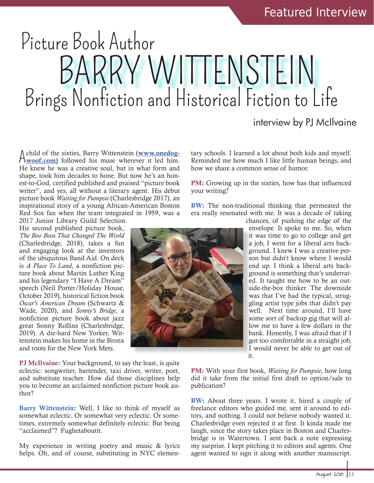## Picture Book Author BARRY WITTENSTEIN Brings Nonfiction and Historical Fiction to Life

## interview by PJ McIlvaine

A child of the sixties, Barry Wittenstein (www.onedog-<br>
<u>Woof.com</u>) followed his muse wherever it led him. woof.com) followed his muse wherever it led him. He knew he was a creative soul, but in what form and shape, took him decades to hone. But now he's an honest-to-God, certified published and praised "picture book writer", and yes, all without a literary agent. His debut picture book *Waiting for Pumpsie* (Charlesbridge 2017), an inspirational story of a young African-American Boston Red Sox fan when the team integrated in 1959, was a 2017 Junior Library Guild Selection.

His second published picture book, *The Boo Boos That Changed The World* (Charlesbridge, 2018), takes a fun and engaging look at the inventors of the ubiquitous Band Aid. On deck is *A Place To Land*, a nonfiction picture book about Martin Luther King and his legendary "I Have A Dream" speech (Neil Porter/Holiday House, October 2019), historical fiction book *Oscar's American Dream* (Schwartz & Wade, 2020), and *Sonny's Bridge*, a nonfiction picture book about jazz great Sonny Rollins (Charlesbridge, 2019). A die-hard New Yorker, Wittenstein makes his home in the Bronx and roots for the New York Mets.

PJ McIlvaine: Your background, to say the least, is quite eclectic: songwriter, bartender, taxi driver, writer, poet, and substitute teacher. How did those disciplines help you to become an acclaimed nonfiction picture book author?

Barry Wittenstein: Well, I like to think of myself as somewhat eclectic. Or somewhat very eclectic. Or sometimes, extremely somewhat definitely eclectic. But being "acclaimed"? Fughetaboutit.

My experience in writing poetry and music & lyrics helps. Oh, and of course, substituting in NYC elementary schools. I learned a lot about both kids and myself. Reminded me how much I like little human beings, and how we share a common sense of humor.

PM: Growing up in the sixties, how has that influenced your writing?

BW: The non-traditional thinking that permeated the era really resonated with me. It was a decade of taking



chances, of pushing the edge of the envelope. It spoke to me. So, when it was time to go to college and get a job, I went for a liberal arts background. I knew I was a creative person but didn't know where I would end up. I think a liberal arts background is something that's underrated. It taught me how to be an outside-the-box thinker. The downside was that I've had the typical, struggling artist type jobs that didn't pay well. Next time around, I'll have some sort of backup gig that will allow me to have a few dollars in the bank. Honestly, I was afraid that if I got too comfortable in a straight job, I would never be able to get out of it.

PM: With your first book, *Waiting for Pumpsie*, how long did it take from the initial first draft to option/sale to publication?

**BW:** About three years. I wrote it, hired a couple of freelance editors who guided me, sent it around to editors, and nothing. I could not believe nobody wanted it. Charlesbridge even rejected it at first. It kinda made me laugh, since the story takes place in Boston and Charlesbridge is in Watertown. I sent back a note expressing my surprise. I kept pitching it to editors and agents. One agent wanted to sign it along with another manuscript.